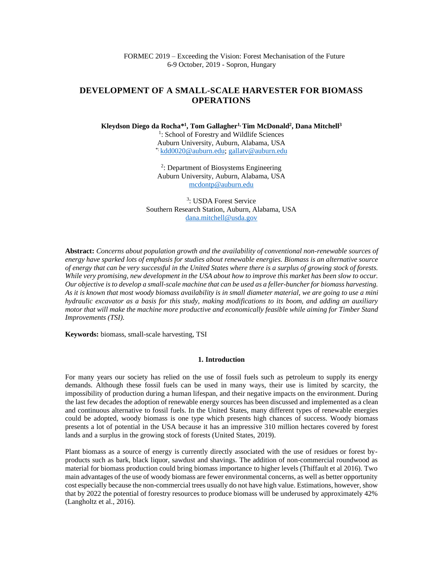# **DEVELOPMENT OF A SMALL-SCALE HARVESTER FOR BIOMASS OPERATIONS**

**Kleydson Diego da Rocha\* 1 , Tom Gallagher1, Tim McDonald<sup>2</sup> , Dana Mitchell<sup>3</sup>**

<sup>1</sup>: School of Forestry and Wildlife Sciences Auburn University, Auburn, Alabama, USA \*: [kdd0020@auburn.edu;](mailto:kdd0020@auburn.edu) [gallatv@auburn.edu](mailto:gallatv@auburn.edu)

2 : Department of Biosystems Engineering Auburn University, Auburn, Alabama, USA [mcdontp@auburn.edu](mailto:mcdontp@auburn.edu)

3 : USDA Forest Service Southern Research Station, Auburn, Alabama, USA [dana.mitchell@usda.gov](mailto:dana.mitchell@usda.gov)

**Abstract:** *Concerns about population growth and the availability of conventional non-renewable sources of energy have sparked lots of emphasis for studies about renewable energies. Biomass is an alternative source of energy that can be very successful in the United States where there is a surplus of growing stock of forests. While very promising, new development in the USA about how to improve this market has been slow to occur. Our objective is to develop a small-scale machine that can be used as a feller-buncherfor biomass harvesting. As it is known that most woody biomass availability is in small diameter material, we are going to use a mini hydraulic excavator as a basis for this study, making modifications to its boom, and adding an auxiliary motor that will make the machine more productive and economically feasible while aiming for Timber Stand Improvements (TSI).*

**Keywords:** biomass, small-scale harvesting, TSI

#### **1. Introduction**

For many years our society has relied on the use of fossil fuels such as petroleum to supply its energy demands. Although these fossil fuels can be used in many ways, their use is limited by scarcity, the impossibility of production during a human lifespan, and their negative impacts on the environment. During the last few decades the adoption of renewable energy sources has been discussed and implemented as a clean and continuous alternative to fossil fuels. In the United States, many different types of renewable energies could be adopted, woody biomass is one type which presents high chances of success. Woody biomass presents a lot of potential in the USA because it has an impressive 310 million hectares covered by forest lands and a surplus in the growing stock of forests (United States, 2019).

Plant biomass as a source of energy is currently directly associated with the use of residues or forest byproducts such as bark, black liquor, sawdust and shavings. The addition of non-commercial roundwood as material for biomass production could bring biomass importance to higher levels (Thiffault et al 2016). Two main advantages of the use of woody biomass are fewer environmental concerns, as well as better opportunity cost especially because the non-commercial trees usually do not have high value. Estimations, however, show that by 2022 the potential of forestry resources to produce biomass will be underused by approximately 42% (Langholtz et al., 2016).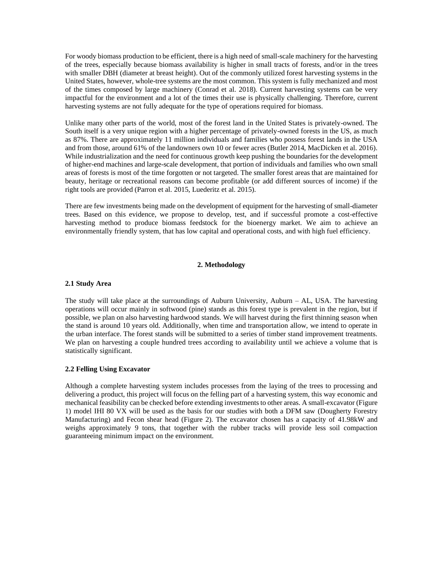For woody biomass production to be efficient, there is a high need of small-scale machinery for the harvesting of the trees, especially because biomass availability is higher in small tracts of forests, and/or in the trees with smaller DBH (diameter at breast height). Out of the commonly utilized forest harvesting systems in the United States, however, whole-tree systems are the most common. This system is fully mechanized and most of the times composed by large machinery (Conrad et al. 2018). Current harvesting systems can be very impactful for the environment and a lot of the times their use is physically challenging. Therefore, current harvesting systems are not fully adequate for the type of operations required for biomass.

Unlike many other parts of the world, most of the forest land in the United States is privately-owned. The South itself is a very unique region with a higher percentage of privately-owned forests in the US, as much as 87%. There are approximately 11 million individuals and families who possess forest lands in the USA and from those, around 61% of the landowners own 10 or fewer acres (Butler 2014, MacDicken et al. 2016). While industrialization and the need for continuous growth keep pushing the boundaries for the development of higher-end machines and large-scale development, that portion of individuals and families who own small areas of forests is most of the time forgotten or not targeted. The smaller forest areas that are maintained for beauty, heritage or recreational reasons can become profitable (or add different sources of income) if the right tools are provided (Parron et al. 2015, Luederitz et al. 2015).

There are few investments being made on the development of equipment for the harvesting of small-diameter trees. Based on this evidence, we propose to develop, test, and if successful promote a cost-effective harvesting method to produce biomass feedstock for the bioenergy market. We aim to achieve an environmentally friendly system, that has low capital and operational costs, and with high fuel efficiency.

### **2. Methodology**

## **2.1 Study Area**

The study will take place at the surroundings of Auburn University, Auburn – AL, USA. The harvesting operations will occur mainly in softwood (pine) stands as this forest type is prevalent in the region, but if possible, we plan on also harvesting hardwood stands. We will harvest during the first thinning season when the stand is around 10 years old. Additionally, when time and transportation allow, we intend to operate in the urban interface. The forest stands will be submitted to a series of timber stand improvement treatments. We plan on harvesting a couple hundred trees according to availability until we achieve a volume that is statistically significant.

# **2.2 Felling Using Excavator**

Although a complete harvesting system includes processes from the laying of the trees to processing and delivering a product, this project will focus on the felling part of a harvesting system, this way economic and mechanical feasibility can be checked before extending investments to other areas. A small-excavator (Figure 1) model IHI 80 VX will be used as the basis for our studies with both a DFM saw (Dougherty Forestry Manufacturing) and Fecon shear head (Figure 2). The excavator chosen has a capacity of 41.98kW and weighs approximately 9 tons, that together with the rubber tracks will provide less soil compaction guaranteeing minimum impact on the environment.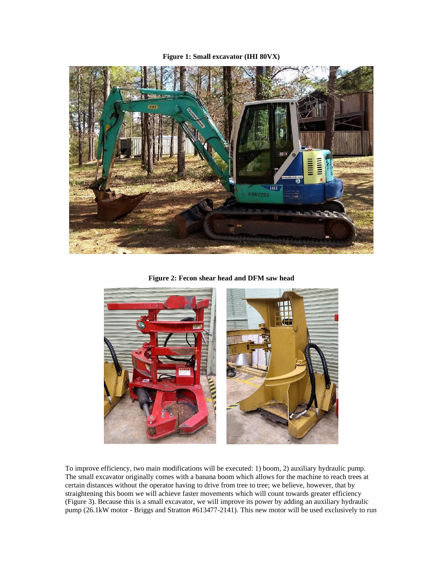# **Figure 1: Small excavator (IHI 80VX)**



**Figure 2: Fecon shear head and DFM saw head**



To improve efficiency, two main modifications will be executed: 1) boom, 2) auxiliary hydraulic pump. The small excavator originally comes with a banana boom which allows for the machine to reach trees at certain distances without the operator having to drive from tree to tree; we believe, however, that by straightening this boom we will achieve faster movements which will count towards greater efficiency (Figure 3). Because this is a small excavator, we will improve its power by adding an auxiliary hydraulic pump (26.1kW motor - Briggs and Stratton #613477-2141). This new motor will be used exclusively to run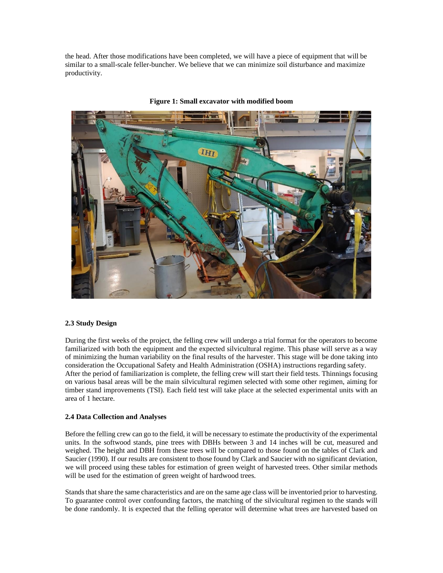the head. After those modifications have been completed, we will have a piece of equipment that will be similar to a small-scale feller-buncher. We believe that we can minimize soil disturbance and maximize productivity.



**Figure 1: Small excavator with modified boom**

### **2.3 Study Design**

During the first weeks of the project, the felling crew will undergo a trial format for the operators to become familiarized with both the equipment and the expected silvicultural regime. This phase will serve as a way of minimizing the human variability on the final results of the harvester. This stage will be done taking into consideration the Occupational Safety and Health Administration (OSHA) instructions regarding safety. After the period of familiarization is complete, the felling crew will start their field tests. Thinnings focusing on various basal areas will be the main silvicultural regimen selected with some other regimen, aiming for timber stand improvements (TSI). Each field test will take place at the selected experimental units with an area of 1 hectare.

### **2.4 Data Collection and Analyses**

Before the felling crew can go to the field, it will be necessary to estimate the productivity of the experimental units. In the softwood stands, pine trees with DBHs between 3 and 14 inches will be cut, measured and weighed. The height and DBH from these trees will be compared to those found on the tables of Clark and Saucier (1990). If our results are consistent to those found by Clark and Saucier with no significant deviation, we will proceed using these tables for estimation of green weight of harvested trees. Other similar methods will be used for the estimation of green weight of hardwood trees.

Stands that share the same characteristics and are on the same age class will be inventoried prior to harvesting. To guarantee control over confounding factors, the matching of the silvicultural regimen to the stands will be done randomly. It is expected that the felling operator will determine what trees are harvested based on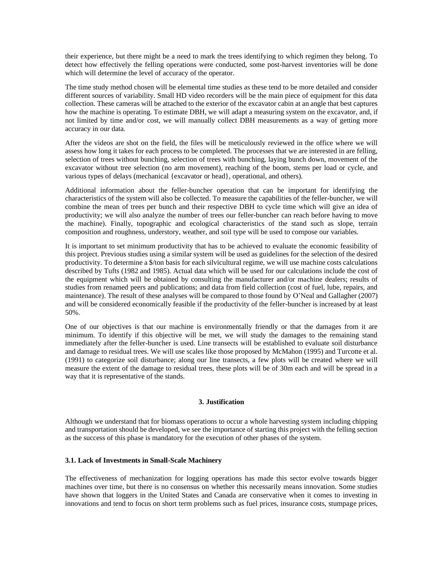their experience, but there might be a need to mark the trees identifying to which regimen they belong. To detect how effectively the felling operations were conducted, some post-harvest inventories will be done which will determine the level of accuracy of the operator.

The time study method chosen will be elemental time studies as these tend to be more detailed and consider different sources of variability. Small HD video recorders will be the main piece of equipment for this data collection. These cameras will be attached to the exterior of the excavator cabin at an angle that best captures how the machine is operating. To estimate DBH, we will adapt a measuring system on the excavator, and, if not limited by time and/or cost, we will manually collect DBH measurements as a way of getting more accuracy in our data.

After the videos are shot on the field, the files will be meticulously reviewed in the office where we will assess how long it takes for each process to be completed. The processes that we are interested in are felling, selection of trees without bunching, selection of trees with bunching, laying bunch down, movement of the excavator without tree selection (no arm movement), reaching of the boom, stems per load or cycle, and various types of delays (mechanical {excavator or head}, operational, and others).

Additional information about the feller-buncher operation that can be important for identifying the characteristics of the system will also be collected. To measure the capabilities of the feller-buncher, we will combine the mean of trees per bunch and their respective DBH to cycle time which will give an idea of productivity; we will also analyze the number of trees our feller-buncher can reach before having to move the machine). Finally, topographic and ecological characteristics of the stand such as slope, terrain composition and roughness, understory, weather, and soil type will be used to compose our variables.

It is important to set minimum productivity that has to be achieved to evaluate the economic feasibility of this project. Previous studies using a similar system will be used as guidelines for the selection of the desired productivity. To determine a \$/ton basis for each silvicultural regime, we will use machine costs calculations described by Tufts (1982 and 1985). Actual data which will be used for our calculations include the cost of the equipment which will be obtained by consulting the manufacturer and/or machine dealers; results of studies from renamed peers and publications; and data from field collection (cost of fuel, lube, repairs, and maintenance). The result of these analyses will be compared to those found by O'Neal and Gallagher (2007) and will be considered economically feasible if the productivity of the feller-buncher is increased by at least 50%.

One of our objectives is that our machine is environmentally friendly or that the damages from it are minimum. To identify if this objective will be met, we will study the damages to the remaining stand immediately after the feller-buncher is used. Line transects will be established to evaluate soil disturbance and damage to residual trees. We will use scales like those proposed by McMahon (1995) and Turcotte et al. (1991) to categorize soil disturbance; along our line transects, a few plots will be created where we will measure the extent of the damage to residual trees, these plots will be of 30m each and will be spread in a way that it is representative of the stands.

## **3. Justification**

Although we understand that for biomass operations to occur a whole harvesting system including chipping and transportation should be developed, we see the importance of starting this project with the felling section as the success of this phase is mandatory for the execution of other phases of the system.

### **3.1. Lack of Investments in Small-Scale Machinery**

The effectiveness of mechanization for logging operations has made this sector evolve towards bigger machines over time, but there is no consensus on whether this necessarily means innovation. Some studies have shown that loggers in the United States and Canada are conservative when it comes to investing in innovations and tend to focus on short term problems such as fuel prices, insurance costs, stumpage prices,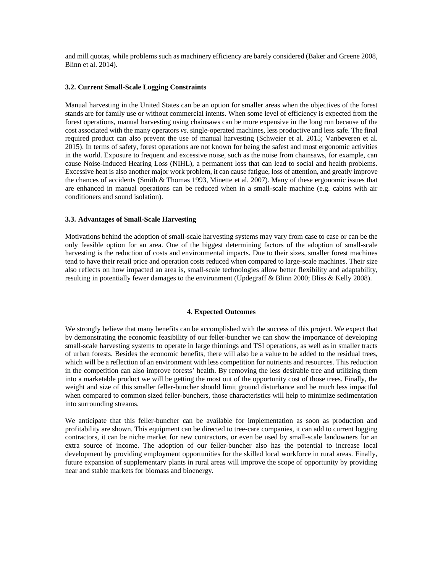and mill quotas, while problems such as machinery efficiency are barely considered (Baker and Greene 2008, Blinn et al. 2014).

### **3.2. Current Small-Scale Logging Constraints**

Manual harvesting in the United States can be an option for smaller areas when the objectives of the forest stands are for family use or without commercial intents. When some level of efficiency is expected from the forest operations, manual harvesting using chainsaws can be more expensive in the long run because of the cost associated with the many operators *vs*. single-operated machines, less productive and less safe. The final required product can also prevent the use of manual harvesting (Schweier et al. 2015; Vanbeveren et al. 2015). In terms of safety, forest operations are not known for being the safest and most ergonomic activities in the world. Exposure to frequent and excessive noise, such as the noise from chainsaws, for example, can cause Noise-Induced Hearing Loss (NIHL), a permanent loss that can lead to social and health problems. Excessive heat is also another major work problem, it can cause fatigue, loss of attention, and greatly improve the chances of accidents (Smith & Thomas 1993, Minette et al. 2007). Many of these ergonomic issues that are enhanced in manual operations can be reduced when in a small-scale machine (e.g. cabins with air conditioners and sound isolation).

#### **3.3. Advantages of Small-Scale Harvesting**

Motivations behind the adoption of small-scale harvesting systems may vary from case to case or can be the only feasible option for an area. One of the biggest determining factors of the adoption of small-scale harvesting is the reduction of costs and environmental impacts. Due to their sizes, smaller forest machines tend to have their retail price and operation costs reduced when compared to large-scale machines. Their size also reflects on how impacted an area is, small-scale technologies allow better flexibility and adaptability, resulting in potentially fewer damages to the environment (Updegraff & Blinn 2000; Bliss & Kelly 2008).

#### **4. Expected Outcomes**

We strongly believe that many benefits can be accomplished with the success of this project. We expect that by demonstrating the economic feasibility of our feller-buncher we can show the importance of developing small-scale harvesting systems to operate in large thinnings and TSI operations, as well as in smaller tracts of urban forests. Besides the economic benefits, there will also be a value to be added to the residual trees, which will be a reflection of an environment with less competition for nutrients and resources. This reduction in the competition can also improve forests' health. By removing the less desirable tree and utilizing them into a marketable product we will be getting the most out of the opportunity cost of those trees. Finally, the weight and size of this smaller feller-buncher should limit ground disturbance and be much less impactful when compared to common sized feller-bunchers, those characteristics will help to minimize sedimentation into surrounding streams.

We anticipate that this feller-buncher can be available for implementation as soon as production and profitability are shown. This equipment can be directed to tree-care companies, it can add to current logging contractors, it can be niche market for new contractors, or even be used by small-scale landowners for an extra source of income. The adoption of our feller-buncher also has the potential to increase local development by providing employment opportunities for the skilled local workforce in rural areas. Finally, future expansion of supplementary plants in rural areas will improve the scope of opportunity by providing near and stable markets for biomass and bioenergy.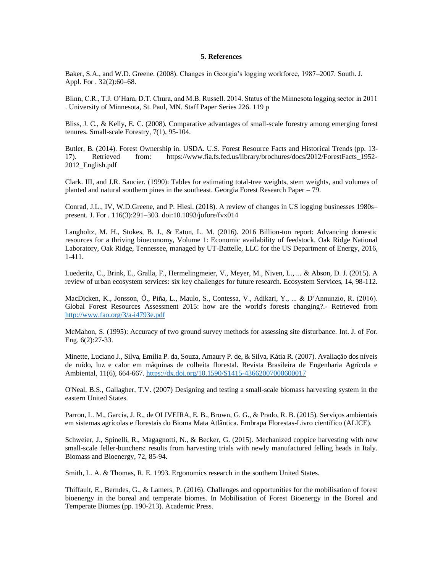#### **5. References**

Baker, S.A., and W.D. Greene. (2008). Changes in Georgia's logging workforce, 1987–2007. South. J. Appl. For . 32(2):60–68.

Blinn, C.R., T.J. O'Hara, D.T. Chura, and M.B. Russell. 2014. Status of the Minnesota logging sector in 2011 . University of Minnesota, St. Paul, MN. Staff Paper Series 226. 119 p

Bliss, J. C., & Kelly, E. C. (2008). Comparative advantages of small-scale forestry among emerging forest tenures. Small-scale Forestry, 7(1), 95-104.

Butler, B. (2014). Forest Ownership in. USDA. U.S. Forest Resource Facts and Historical Trends (pp. 13- 17). Retrieved from: https://www.fia.fs.fed.us/library/brochures/docs/2012/ForestFacts\_1952- 2012\_English.pdf

Clark. III, and J.R. Saucier. (1990): Tables for estimating total-tree weights, stem weights, and volumes of planted and natural southern pines in the southeast. Georgia Forest Research Paper – 79.

Conrad, J.L., IV, W.D.Greene, and P. Hiesl. (2018). A review of changes in US logging businesses 1980s– present. J. For . 116(3):291–303. doi:10.1093/jofore/fvx014

Langholtz, M. H., Stokes, B. J., & Eaton, L. M. (2016). 2016 Billion-ton report: Advancing domestic resources for a thriving bioeconomy, Volume 1: Economic availability of feedstock. Oak Ridge National Laboratory, Oak Ridge, Tennessee, managed by UT-Battelle, LLC for the US Department of Energy, 2016, 1-411.

Luederitz, C., Brink, E., Gralla, F., Hermelingmeier, V., Meyer, M., Niven, L., ... & Abson, D. J. (2015). A review of urban ecosystem services: six key challenges for future research. Ecosystem Services, 14, 98-112.

MacDicken, K., Jonsson, Ö., Piña, L., Maulo, S., Contessa, V., Adikari, Y., ... & D'Annunzio, R. (2016). Global Forest Resources Assessment 2015: how are the world's forests changing?.- Retrieved from <http://www.fao.org/3/a-i4793e.pdf>

McMahon, S. (1995): Accuracy of two ground survey methods for assessing site disturbance. Int. J. of For. Eng. 6(2):27-33.

Minette, Luciano J., Silva, Emília P. da, Souza, Amaury P. de, & Silva, Kátia R. (2007). Avaliação dos níveis de ruído, luz e calor em máquinas de colheita florestal. Revista Brasileira de Engenharia Agrícola e Ambiental, 11(6), 664-667.<https://dx.doi.org/10.1590/S1415-43662007000600017>

O'Neal, B.S., Gallagher, T.V. (2007) Designing and testing a small-scale biomass harvesting system in the eastern United States.

Parron, L. M., Garcia, J. R., de OLIVEIRA, E. B., Brown, G. G., & Prado, R. B. (2015). Serviços ambientais em sistemas agrícolas e florestais do Bioma Mata Atlântica. Embrapa Florestas-Livro científico (ALICE).

Schweier, J., Spinelli, R., Magagnotti, N., & Becker, G. (2015). Mechanized coppice harvesting with new small-scale feller-bunchers: results from harvesting trials with newly manufactured felling heads in Italy. Biomass and Bioenergy, 72, 85-94.

Smith, L. A. & Thomas, R. E. 1993. Ergonomics research in the southern United States.

Thiffault, E., Berndes, G., & Lamers, P. (2016). Challenges and opportunities for the mobilisation of forest bioenergy in the boreal and temperate biomes. In Mobilisation of Forest Bioenergy in the Boreal and Temperate Biomes (pp. 190-213). Academic Press.